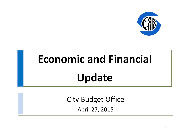

# **Economic and Financial Update**

City Budget Office April 27, 2015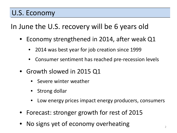#### U.S. Economy

In June the U.S. recovery will be 6 years old

- Economy strengthened in 2014, after weak Q1
	- 2014 was best year for job creation since 1999
	- Consumer sentiment has reached pre-recession levels
- Growth slowed in 2015 Q1
	- Severe winter weather
	- Strong dollar
	- Low energy prices impact energy producers, consumers
- Forecast: stronger growth for rest of 2015
- No signs yet of economy overheating  $2$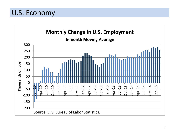#### U.S. Economy

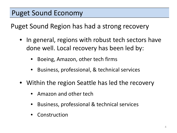Puget Sound Region has had a strong recovery

- In general, regions with robust tech sectors have done well. Local recovery has been led by:
	- Boeing, Amazon, other tech firms
	- Business, professional, & technical services
- Within the region Seattle has led the recovery
	- Amazon and other tech
	- Business, professional & technical services
	- **Construction**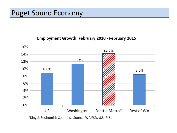#### Puget Sound Economy

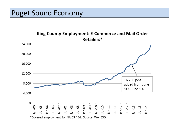#### Puget Sound Economy

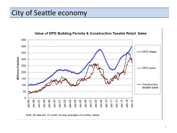### City of Seattle economy

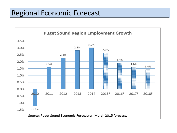# Regional Economic Forecast

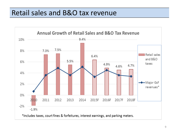#### Retail sales and B&O tax revenue

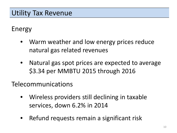# Utility Tax Revenue

#### Energy

- Warm weather and low energy prices reduce natural gas related revenues
- Natural gas spot prices are expected to average \$3.34 per MMBTU 2015 through 2016

Telecommunications

- Wireless providers still declining in taxable services, down 6.2% in 2014
- Refund requests remain a significant risk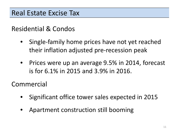#### Residential & Condos

- Single-family home prices have not yet reached their inflation adjusted pre-recession peak
- Prices were up an average 9.5% in 2014, forecast is for 6.1% in 2015 and 3.9% in 2016.

Commercial

- Significant office tower sales expected in 2015
- Apartment construction still booming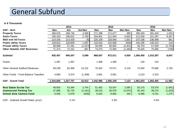#### General Subfund

#### **In \$ Thousands**

|                                       |           | 2014      |                |            | 2015      |                          |            | 2016      |                |
|---------------------------------------|-----------|-----------|----------------|------------|-----------|--------------------------|------------|-----------|----------------|
| <b>GSF</b> - Item                     | Nov       | Act       | <b>Act-Nov</b> | <b>Nov</b> | Mar       | <b>Mar-Nov</b>           | <b>Nov</b> | Mar       | <b>Mar-Nov</b> |
| <b>Property Taxes</b>                 | 266,676   | 268,745   | 2,069          | 271,288    | 271,677   | 389                      | 280,340    | 281,343   | 1,003          |
| <b>Sales Taxes</b>                    | 195,253   | 198,022   | 2,769          | 204,901    | 211,504   | 6,603                    | 212,030    | 221,297   | 9,267          |
| <b>B&amp;O and Ad-Taxes</b>           | 214,435   | 214,429   | (6)            | 225,109    | 226,940   | 1,831                    | 237,538    | 238,499   | 961            |
| <b>Public Utility Taxes</b>           | 128,812   | 129,909   | 1,097          | 133,542    | 132,606   | (936)                    | 140,195    | 140,313   | 118            |
| <b>Private Utility Taxes</b>          | 58,808    | 57,281    | (1,527)        | 59,095     | 56,694    | (2, 401)                 | 59,703     | 57,939    | (1, 764)       |
| <b>Other Notable GSF Revenues</b>     | 71,474    | 72,161    | 687            | 74,073     | 72,590    | (1, 483)                 | 76,645     | 75,906    | (739)          |
| Subtotal                              | 935,457   | 940,547   | 5,090          | 968,007    | 972,011   | 4,004                    | 1,006,450  | 1,015,297 | 8,847          |
| Grants                                | 1,467     | 1,467     |                | 1,466      | 1,466     |                          | 216        | 216       |                |
| <b>Other General Subfund Revenues</b> | 69,238    | 82,369    | 13,131         | 70,452     | 73,571    | 3,119                    | 72,934     | 75,669    | 2,735          |
| Other Funds - Fund Balance Transfers  | 4,683     | 3,374     | (1,309)        | 3,061      | 3,061     | $\overline{\phantom{a}}$ | 2,223      | 2,223     |                |
| <b>GSF - Grand Total</b>              | 1,010,845 | 1,027,757 | 16,912         | 1,042,986  | 1,050,109 | 7,123                    | 1,081,823  | 1,093,405 | 11,582         |
|                                       |           |           |                |            |           |                          |            |           |                |
| <b>Real Estate Excise Tax</b>         | 49,650    | 53,394    | 3,744          | 51,462     | 53,547    | 2,085                    | 55,270     | 53,579    | (1,691)        |
| <b>Commercial Parking Tax</b>         | 37,886    | 35,725    | (2, 161)       | 39,023     | 36,976    | (2,047)                  | 40,193     | 38,270    | (1, 923)       |
| <b>School Zone Camera Fund</b>        | 6,006     | 5,078     | (928)          | 8,342      | 8,682     | 340                      | 8,486      | 9,761     | 1,275          |
| GSF - Subtotal Growth Rates (yr/yr)   |           | 5.1%      |                |            | 3.3%      |                          |            | 4.5%      |                |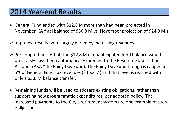#### 2014 Year-end Results

- General Fund ended with \$12.8 M more than had been projected in November. (A final balance of \$36.8 M vs. November projection of \$24.0 M.)
- $\triangleright$  Improved results were largely driven by increasing revenues.
- $\triangleright$  Per adopted policy, half the \$12.8 M in unanticipated fund balance would previously have been automatically directed to the Revenue Stabilization Account (AKA "the Rainy Day Fund). The Rainy Day Fund though is capped at 5% of General Fund Tax revenues (\$45.2 M) and that level is reached with only a \$3.8 M balance transfer.
- $\triangleright$  Remaining funds will be used to address existing obligations, rather than supporting new programmatic expenditures, per adopted policy. The increased payments to the City's retirement system are one example of such obligations.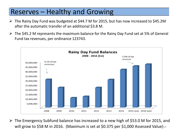### Reserves – Healthy and Growing

- $\triangleright$  The Rainy Day Fund was budgeted at \$44.7 M for 2015, but has now increased to \$45.2M after the automatic transfer of an additional \$3.8 M.
- $\triangleright$  The \$45.2 M represents the maximum balance for the Rainy Day Fund set at 5% of General Fund tax revenues, per ordinance 123743.



 $\triangleright$  The Emergency Subfund balance has increased to a new high of \$53.0 M for 2015, and will grow to \$58 M in 2016. (Maximum is set at \$0.375 per \$1,000 Assessed Value) $14$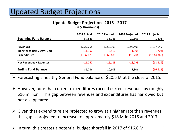### Updated Budget Projections

| <b>Update Budget Projections 2015 - 2017</b> |  |  |  |  |  |
|----------------------------------------------|--|--|--|--|--|
| (In \$ Thousands)                            |  |  |  |  |  |

| 2014 Actual | 2015 Revised | 2016 Projected | 2017 Projected |  |
|-------------|--------------|----------------|----------------|--|
| 57,843      | 36,786       | 20,603         | 1,806          |  |
| 1,027,758   | 1,050,109    | 1,093,405      | 1,127,649      |  |
| (11, 192)   | (3,810)      | (1,998)        | (1,703)        |  |
| (1,037,623) | (1,062,481)  | (1,110,204)    | (1, 144, 366)  |  |
| (21,057)    | (16, 183)    | (18, 798)      | (18, 419)      |  |
| 36,786      | 20,603       | 1,806          | (16, 613)      |  |
|             |              |                |                |  |

 $\triangleright$  Forecasting a healthy General Fund balance of \$20.6 M at the close of 2015.

- $\triangleright$  However, note that current expenditures exceed current revenues by roughly \$16 million. This gap between revenues and expenditures has narrowed but not disappeared.
- $\triangleright$  Given that expenditure are projected to grow at a higher rate than revenues, this gap is projected to increase to approximately \$18 M in 2016 and 2017.
- $\triangleright$  In turn, this creates a potential budget shortfall in 2017 of \$16.6 M.